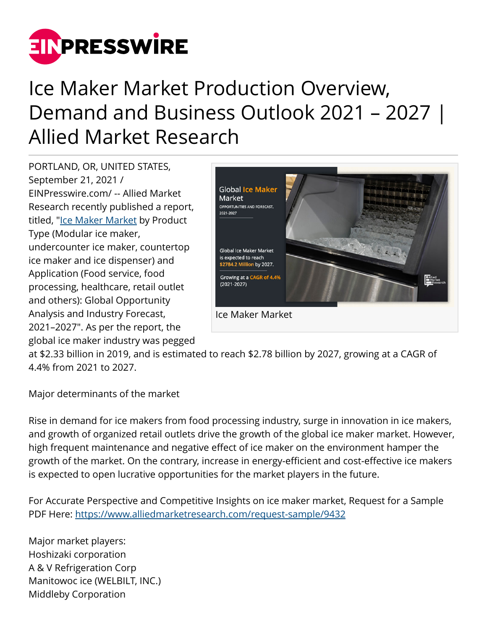

## Ice Maker Market Production Overview, Demand and Business Outlook 2021 – 2027 | Allied Market Research

PORTLAND, OR, UNITED STATES, September 21, 2021 / [EINPresswire.com](http://www.einpresswire.com)/ -- Allied Market Research recently published a report, titled, ["Ice Maker Market](https://www.alliedmarketresearch.com/ice-maker-market-A09067) by Product Type (Modular ice maker, undercounter ice maker, countertop ice maker and ice dispenser) and Application (Food service, food processing, healthcare, retail outlet and others): Global Opportunity Analysis and Industry Forecast, 2021–2027". As per the report, the global ice maker industry was pegged



at \$2.33 billion in 2019, and is estimated to reach \$2.78 billion by 2027, growing at a CAGR of 4.4% from 2021 to 2027.

Major determinants of the market

Rise in demand for ice makers from food processing industry, surge in innovation in ice makers, and growth of organized retail outlets drive the growth of the global ice maker market. However, high frequent maintenance and negative effect of ice maker on the environment hamper the growth of the market. On the contrary, increase in energy-efficient and cost-effective ice makers is expected to open lucrative opportunities for the market players in the future.

For Accurate Perspective and Competitive Insights on ice maker market, Request for a Sample PDF Here: <https://www.alliedmarketresearch.com/request-sample/9432>

Major market players: Hoshizaki corporation A & V Refrigeration Corp Manitowoc ice (WELBILT, INC.) Middleby Corporation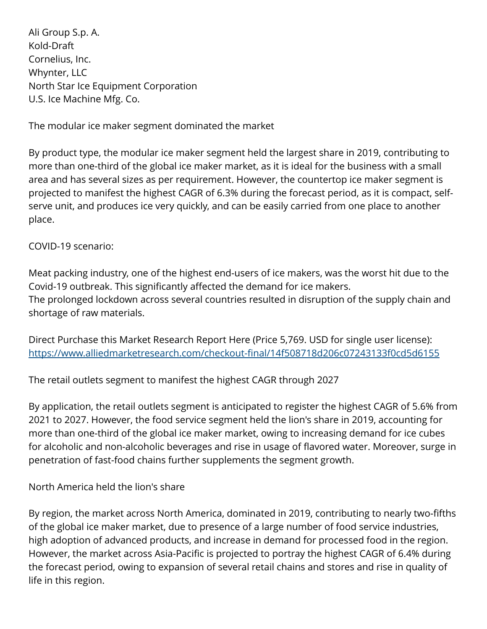Ali Group S.p. A. Kold-Draft Cornelius, Inc. Whynter, LLC North Star Ice Equipment Corporation U.S. Ice Machine Mfg. Co.

The modular ice maker segment dominated the market

By product type, the modular ice maker segment held the largest share in 2019, contributing to more than one-third of the global ice maker market, as it is ideal for the business with a small area and has several sizes as per requirement. However, the countertop ice maker segment is projected to manifest the highest CAGR of 6.3% during the forecast period, as it is compact, selfserve unit, and produces ice very quickly, and can be easily carried from one place to another place.

COVID-19 scenario:

Meat packing industry, one of the highest end-users of ice makers, was the worst hit due to the Covid-19 outbreak. This significantly affected the demand for ice makers. The prolonged lockdown across several countries resulted in disruption of the supply chain and shortage of raw materials.

Direct Purchase this Market Research Report Here (Price 5,769. USD for single user license): <https://www.alliedmarketresearch.com/checkout-final/14f508718d206c07243133f0cd5d6155>

The retail outlets segment to manifest the highest CAGR through 2027

By application, the retail outlets segment is anticipated to register the highest CAGR of 5.6% from 2021 to 2027. However, the food service segment held the lion's share in 2019, accounting for more than one-third of the global ice maker market, owing to increasing demand for ice cubes for alcoholic and non-alcoholic beverages and rise in usage of flavored water. Moreover, surge in penetration of fast-food chains further supplements the segment growth.

North America held the lion's share

By region, the market across North America, dominated in 2019, contributing to nearly two-fifths of the global ice maker market, due to presence of a large number of food service industries, high adoption of advanced products, and increase in demand for processed food in the region. However, the market across Asia-Pacific is projected to portray the highest CAGR of 6.4% during the forecast period, owing to expansion of several retail chains and stores and rise in quality of life in this region.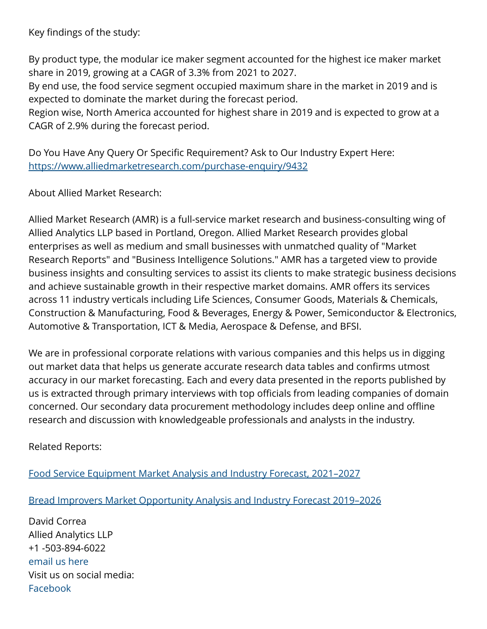Key findings of the study:

By product type, the modular ice maker segment accounted for the highest ice maker market share in 2019, growing at a CAGR of 3.3% from 2021 to 2027.

By end use, the food service segment occupied maximum share in the market in 2019 and is expected to dominate the market during the forecast period.

Region wise, North America accounted for highest share in 2019 and is expected to grow at a CAGR of 2.9% during the forecast period.

Do You Have Any Query Or Specific Requirement? Ask to Our Industry Expert Here: <https://www.alliedmarketresearch.com/purchase-enquiry/9432>

About Allied Market Research:

Allied Market Research (AMR) is a full-service market research and business-consulting wing of Allied Analytics LLP based in Portland, Oregon. Allied Market Research provides global enterprises as well as medium and small businesses with unmatched quality of "Market Research Reports" and "Business Intelligence Solutions." AMR has a targeted view to provide business insights and consulting services to assist its clients to make strategic business decisions and achieve sustainable growth in their respective market domains. AMR offers its services across 11 industry verticals including Life Sciences, Consumer Goods, Materials & Chemicals, Construction & Manufacturing, Food & Beverages, Energy & Power, Semiconductor & Electronics, Automotive & Transportation, ICT & Media, Aerospace & Defense, and BFSI.

We are in professional corporate relations with various companies and this helps us in digging out market data that helps us generate accurate research data tables and confirms utmost accuracy in our market forecasting. Each and every data presented in the reports published by us is extracted through primary interviews with top officials from leading companies of domain concerned. Our secondary data procurement methodology includes deep online and offline research and discussion with knowledgeable professionals and analysts in the industry.

Related Reports:

[Food Service Equipment Market Analysis and Industry Forecast, 2021–2027](https://www.alliedmarketresearch.com/food-service-equipment-market)

[Bread Improvers Market Opportunity Analysis and Industry Forecast 2019–2026](https://www.alliedmarketresearch.com/bread-improvers-market)

David Correa Allied Analytics LLP +1 -503-894-6022 [email us here](http://www.einpresswire.com/contact_author/3164374) Visit us on social media: [Facebook](https://www.facebook.com/alliedmarketresearch/)